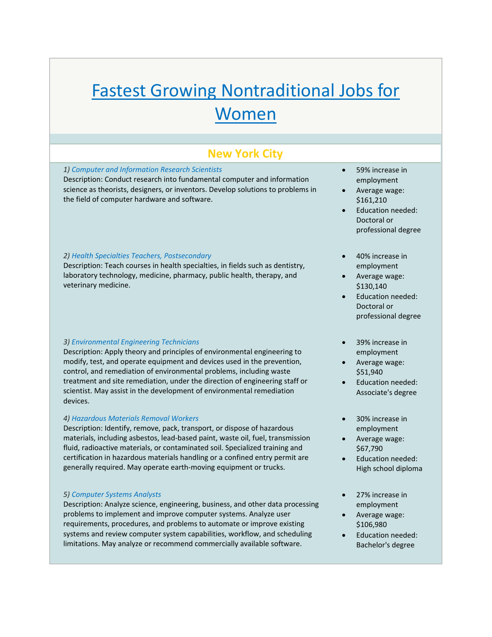# Fastest Growing Nontraditional Jobs for **Women**

# **New York City**

# *1) Computer and Information Research Scientists*

Description: Conduct research into fundamental computer and information science as theorists, designers, or inventors. Develop solutions to problems in the field of computer hardware and software.

## *2) Health Specialties Teachers, Postsecondary*

Description: Teach courses in health specialties, in fields such as dentistry, laboratory technology, medicine, pharmacy, public health, therapy, and veterinary medicine.

#### *3) Environmental Engineering Technicians*

Description: Apply theory and principles of environmental engineering to modify, test, and operate equipment and devices used in the prevention, control, and remediation of environmental problems, including waste treatment and site remediation, under the direction of engineering staff or scientist. May assist in the development of environmental remediation devices.

#### *4) Hazardous Materials Removal Workers*

Description: Identify, remove, pack, transport, or dispose of hazardous materials, including asbestos, lead‐based paint, waste oil, fuel, transmission fluid, radioactive materials, or contaminated soil. Specialized training and certification in hazardous materials handling or a confined entry permit are generally required. May operate earth‐moving equipment or trucks.

#### *5) Computer Systems Analysts*

Description: Analyze science, engineering, business, and other data processing problems to implement and improve computer systems. Analyze user requirements, procedures, and problems to automate or improve existing systems and review computer system capabilities, workflow, and scheduling limitations. May analyze or recommend commercially available software.

- 59% increase in employment
- Average wage: \$161,210
- Education needed: Doctoral or professional degree
- 40% increase in employment
- Average wage: \$130,140
- Education needed: Doctoral or professional degree
- 39% increase in employment
- Average wage: \$51,940
- Education needed: Associate's degree
- 30% increase in employment
- Average wage: \$67,790
- Education needed: High school diploma
- 27% increase in employment
- Average wage: \$106,980
- Education needed: Bachelor's degree